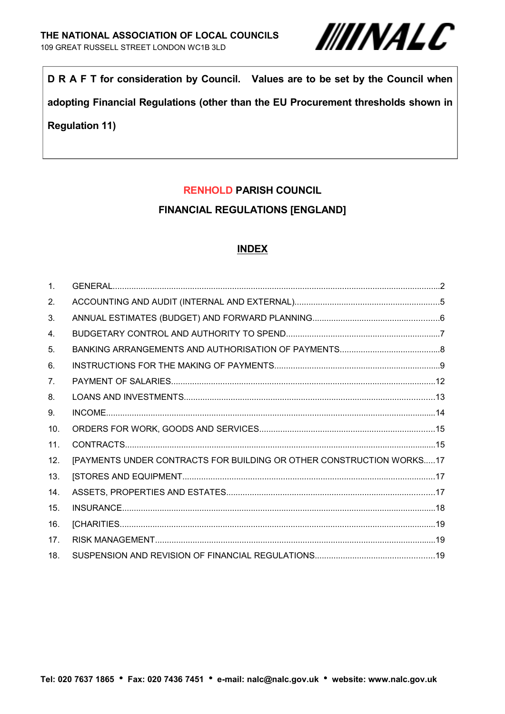

**D R A F T for consideration by Council. Values are to be set by the Council when**

**adopting Financial Regulations (other than the EU Procurement thresholds shown in**

## **Regulation 11)**

## **RENHOLD PARISH COUNCIL**

## **FINANCIAL REGULATIONS [ENGLAND]**

#### **INDEX**

| $\mathbf{1}$ .  |                                                                      |
|-----------------|----------------------------------------------------------------------|
| 2.              |                                                                      |
| 3.              |                                                                      |
| 4.              |                                                                      |
| 5.              |                                                                      |
| 6.              |                                                                      |
| 7 <sub>1</sub>  |                                                                      |
| 8.              |                                                                      |
| 9.              |                                                                      |
| 10.             |                                                                      |
| 11.             |                                                                      |
| 12.             | [PAYMENTS UNDER CONTRACTS FOR BUILDING OR OTHER CONSTRUCTION WORKS17 |
| 13.             |                                                                      |
| 14.             |                                                                      |
| 15.             |                                                                      |
| 16.             |                                                                      |
| 17 <sub>1</sub> |                                                                      |
| 18.             |                                                                      |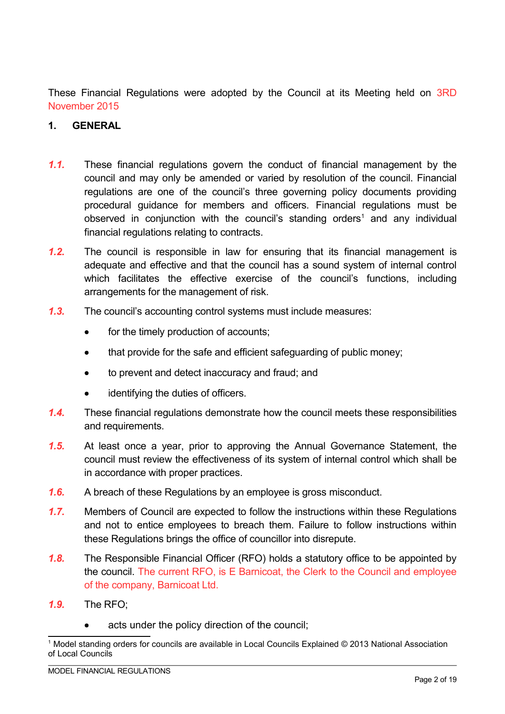These Financial Regulations were adopted by the Council at its Meeting held on 3RD November 2015

#### **1. GENERAL**

- *1.1.* These financial regulations govern the conduct of financial management by the council and may only be amended or varied by resolution of the council. Financial regulations are one of the council's three governing policy documents providing procedural guidance for members and officers. Financial regulations must be observed in conjunction with the council's standing orders<sup>1</sup> and any individual financial regulations relating to contracts.
- *1.2.* The council is responsible in law for ensuring that its financial management is adequate and effective and that the council has a sound system of internal control which facilitates the effective exercise of the council's functions, including arrangements for the management of risk.
- *1.3.* The council's accounting control systems must include measures:
	- for the timely production of accounts;
	- that provide for the safe and efficient safeguarding of public money;
	- to prevent and detect inaccuracy and fraud; and
	- identifying the duties of officers.
- *1.4.* These financial regulations demonstrate how the council meets these responsibilities and requirements.
- *1.5.* At least once a year, prior to approving the Annual Governance Statement, the council must review the effectiveness of its system of internal control which shall be in accordance with proper practices.
- *1.6.* A breach of these Regulations by an employee is gross misconduct.
- *1.7.* Members of Council are expected to follow the instructions within these Regulations and not to entice employees to breach them. Failure to follow instructions within these Regulations brings the office of councillor into disrepute.
- *1.8.* The Responsible Financial Officer (RFO) holds a statutory office to be appointed by the council. The current RFO, is E Barnicoat, the Clerk to the Council and employee of the company, Barnicoat Ltd.
- *1.9.* The RFO;
	- acts under the policy direction of the council;

<sup>1</sup> Model standing orders for councils are available in Local Councils Explained © 2013 National Association of Local Councils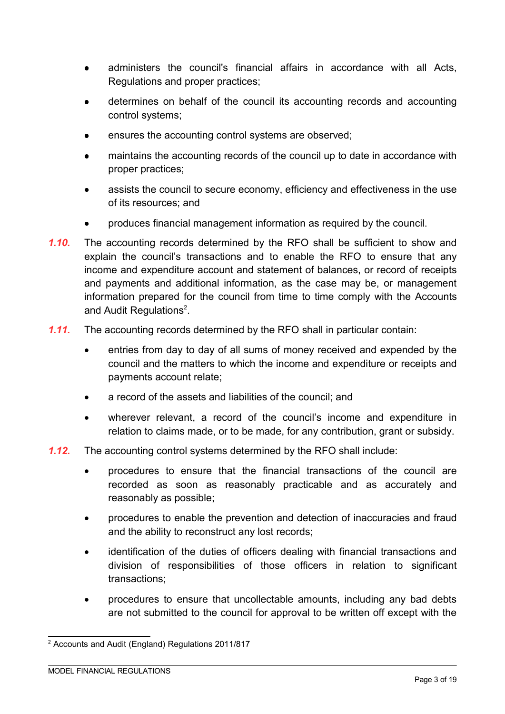- administers the council's financial affairs in accordance with all Acts, Regulations and proper practices;
- determines on behalf of the council its accounting records and accounting control systems;
- ensures the accounting control systems are observed;
- maintains the accounting records of the council up to date in accordance with proper practices;
- assists the council to secure economy, efficiency and effectiveness in the use of its resources; and
- produces financial management information as required by the council.
- *1.10.* The accounting records determined by the RFO shall be sufficient to show and explain the council's transactions and to enable the RFO to ensure that any income and expenditure account and statement of balances, or record of receipts and payments and additional information, as the case may be, or management information prepared for the council from time to time comply with the Accounts and Audit Regulations<sup>2</sup>.
- *1.11.* The accounting records determined by the RFO shall in particular contain:
	- entries from day to day of all sums of money received and expended by the council and the matters to which the income and expenditure or receipts and payments account relate;
	- a record of the assets and liabilities of the council; and
	- wherever relevant, a record of the council's income and expenditure in relation to claims made, or to be made, for any contribution, grant or subsidy.
- *1.12.* The accounting control systems determined by the RFO shall include:
	- procedures to ensure that the financial transactions of the council are recorded as soon as reasonably practicable and as accurately and reasonably as possible;
	- procedures to enable the prevention and detection of inaccuracies and fraud and the ability to reconstruct any lost records;
	- identification of the duties of officers dealing with financial transactions and division of responsibilities of those officers in relation to significant transactions;
	- procedures to ensure that uncollectable amounts, including any bad debts are not submitted to the council for approval to be written off except with the

<sup>2</sup> Accounts and Audit (England) Regulations 2011/817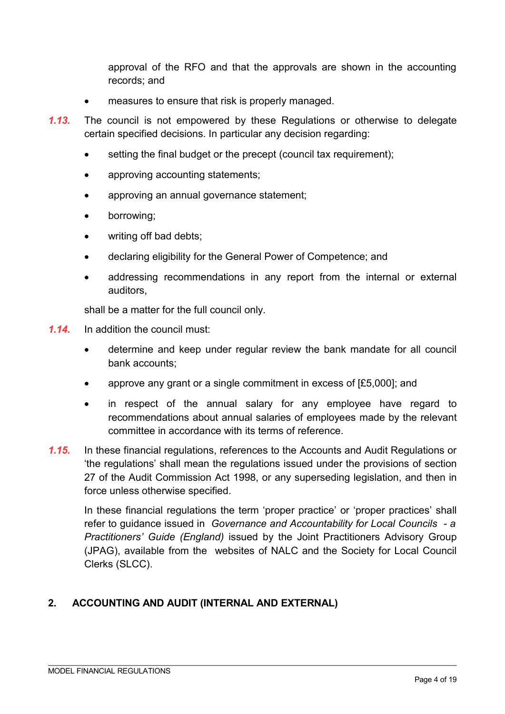approval of the RFO and that the approvals are shown in the accounting records; and

- measures to ensure that risk is properly managed.
- *1.13.* The council is not empowered by these Regulations or otherwise to delegate certain specified decisions. In particular any decision regarding:
	- setting the final budget or the precept (council tax requirement);
	- approving accounting statements;
	- approving an annual governance statement;
	- borrowing;
	- writing off bad debts;
	- declaring eligibility for the General Power of Competence; and
	- addressing recommendations in any report from the internal or external auditors,

shall be a matter for the full council only.

- *1.14.* In addition the council must:
	- determine and keep under regular review the bank mandate for all council bank accounts;
	- approve any grant or a single commitment in excess of [£5,000]; and
	- in respect of the annual salary for any employee have regard to recommendations about annual salaries of employees made by the relevant committee in accordance with its terms of reference.
- *1.15.* In these financial regulations, references to the Accounts and Audit Regulations or 'the regulations' shall mean the regulations issued under the provisions of section 27 of the Audit Commission Act 1998, or any superseding legislation, and then in force unless otherwise specified.

In these financial regulations the term 'proper practice' or 'proper practices' shall refer to guidance issued in *Governance and Accountability for Local Councils - a Practitioners' Guide (England)* issued by the Joint Practitioners Advisory Group (JPAG), available from the websites of NALC and the Society for Local Council Clerks (SLCC).

## **2. ACCOUNTING AND AUDIT (INTERNAL AND EXTERNAL)**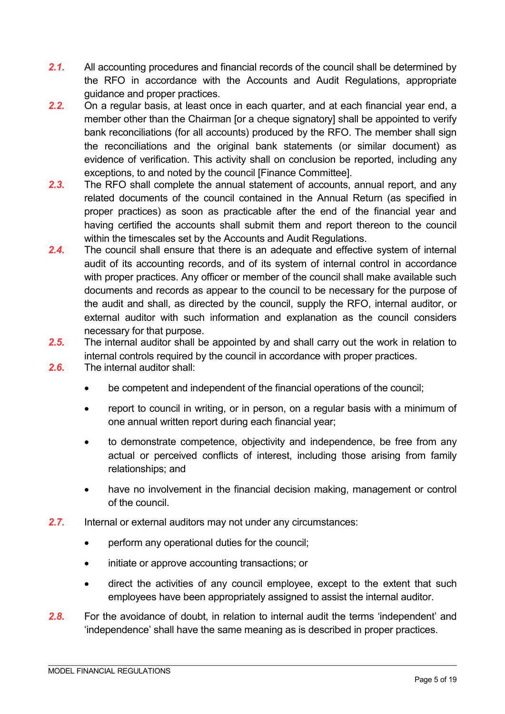- 2.1. All accounting procedures and financial records of the council shall be determined by the RFO in accordance with the Accounts and Audit Regulations, appropriate guidance and proper practices.
- *2.2.* On a regular basis, at least once in each quarter, and at each financial year end, a member other than the Chairman [or a cheque signatory] shall be appointed to verify bank reconciliations (for all accounts) produced by the RFO. The member shall sign the reconciliations and the original bank statements (or similar document) as evidence of verification. This activity shall on conclusion be reported, including any exceptions, to and noted by the council [Finance Committee].
- *2.3.* The RFO shall complete the annual statement of accounts, annual report, and any related documents of the council contained in the Annual Return (as specified in proper practices) as soon as practicable after the end of the financial year and having certified the accounts shall submit them and report thereon to the council within the timescales set by the Accounts and Audit Regulations.
- *2.4.* The council shall ensure that there is an adequate and effective system of internal audit of its accounting records, and of its system of internal control in accordance with proper practices. Any officer or member of the council shall make available such documents and records as appear to the council to be necessary for the purpose of the audit and shall, as directed by the council, supply the RFO, internal auditor, or external auditor with such information and explanation as the council considers necessary for that purpose.
- *2.5.* The internal auditor shall be appointed by and shall carry out the work in relation to internal controls required by the council in accordance with proper practices.
- *2.6.* The internal auditor shall:
	- be competent and independent of the financial operations of the council;
	- report to council in writing, or in person, on a regular basis with a minimum of one annual written report during each financial year;
	- to demonstrate competence, objectivity and independence, be free from any actual or perceived conflicts of interest, including those arising from family relationships; and
	- have no involvement in the financial decision making, management or control of the council.
- *2.7.* Internal or external auditors may not under any circumstances:
	- perform any operational duties for the council;
	- initiate or approve accounting transactions; or
	- direct the activities of any council employee, except to the extent that such employees have been appropriately assigned to assist the internal auditor.
- *2.8.* For the avoidance of doubt, in relation to internal audit the terms 'independent' and 'independence' shall have the same meaning as is described in proper practices.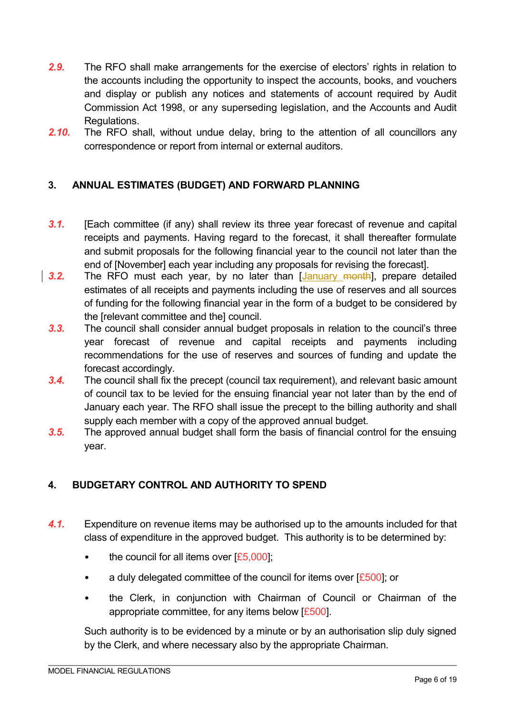- *2.9.* The RFO shall make arrangements for the exercise of electors' rights in relation to the accounts including the opportunity to inspect the accounts, books, and vouchers and display or publish any notices and statements of account required by Audit Commission Act 1998, or any superseding legislation, and the Accounts and Audit Regulations.
- *2.10.* The RFO shall, without undue delay, bring to the attention of all councillors any correspondence or report from internal or external auditors.

## **3. ANNUAL ESTIMATES (BUDGET) AND FORWARD PLANNING**

- *3.1.* [Each committee (if any) shall review its three year forecast of revenue and capital receipts and payments. Having regard to the forecast, it shall thereafter formulate and submit proposals for the following financial year to the council not later than the end of [November] each year including any proposals for revising the forecast].
- **3.2.** The RFO must each year, by no later than [January month], prepare detailed estimates of all receipts and payments including the use of reserves and all sources of funding for the following financial year in the form of a budget to be considered by the **Irelevant committee and the council.** 
	- *3.3.* The council shall consider annual budget proposals in relation to the council's three year forecast of revenue and capital receipts and payments including recommendations for the use of reserves and sources of funding and update the forecast accordingly.
	- *3.4.* The council shall fix the precept (council tax requirement), and relevant basic amount of council tax to be levied for the ensuing financial year not later than by the end of January each year. The RFO shall issue the precept to the billing authority and shall supply each member with a copy of the approved annual budget.
	- *3.5.* The approved annual budget shall form the basis of financial control for the ensuing year.

## **4. BUDGETARY CONTROL AND AUTHORITY TO SPEND**

- *4.1.* Expenditure on revenue items may be authorised up to the amounts included for that class of expenditure in the approved budget. This authority is to be determined by:
	- the council for all items over  $[£5,000]$ ;
	- a duly delegated committee of the council for items over  $E$  500]; or
	- the Clerk, in conjunction with Chairman of Council or Chairman of the appropriate committee, for any items below  $E_{500}$ .

Such authority is to be evidenced by a minute or by an authorisation slip duly signed by the Clerk, and where necessary also by the appropriate Chairman.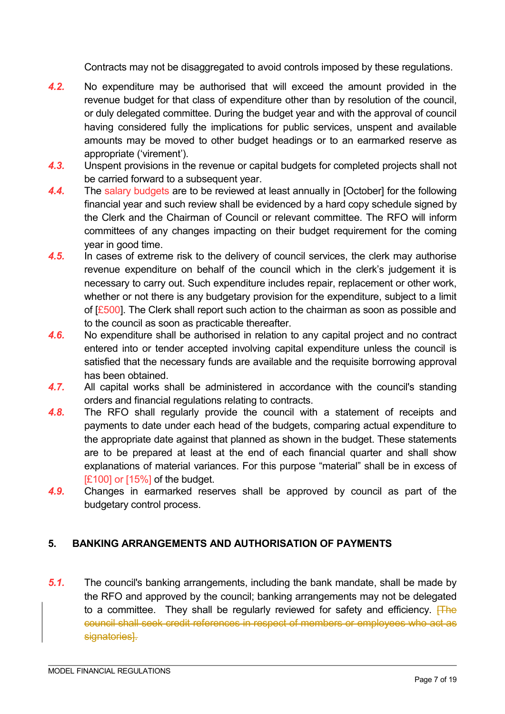Contracts may not be disaggregated to avoid controls imposed by these regulations.

- *4.2.* No expenditure may be authorised that will exceed the amount provided in the revenue budget for that class of expenditure other than by resolution of the council, or duly delegated committee. During the budget year and with the approval of council having considered fully the implications for public services, unspent and available amounts may be moved to other budget headings or to an earmarked reserve as appropriate ('virement').
- *4.3.* Unspent provisions in the revenue or capital budgets for completed projects shall not be carried forward to a subsequent year.
- *4.4.* The salary budgets are to be reviewed at least annually in [October] for the following financial year and such review shall be evidenced by a hard copy schedule signed by the Clerk and the Chairman of Council or relevant committee. The RFO will inform committees of any changes impacting on their budget requirement for the coming year in good time.
- *4.5.* In cases of extreme risk to the delivery of council services, the clerk may authorise revenue expenditure on behalf of the council which in the clerk's judgement it is necessary to carry out. Such expenditure includes repair, replacement or other work, whether or not there is any budgetary provision for the expenditure, subject to a limit of  $E_{500}$ . The Clerk shall report such action to the chairman as soon as possible and to the council as soon as practicable thereafter.
- *4.6.* No expenditure shall be authorised in relation to any capital project and no contract entered into or tender accepted involving capital expenditure unless the council is satisfied that the necessary funds are available and the requisite borrowing approval has been obtained.
- *4.7.* All capital works shall be administered in accordance with the council's standing orders and financial regulations relating to contracts.
- *4.8.* The RFO shall regularly provide the council with a statement of receipts and payments to date under each head of the budgets, comparing actual expenditure to the appropriate date against that planned as shown in the budget. These statements are to be prepared at least at the end of each financial quarter and shall show explanations of material variances. For this purpose "material" shall be in excess of [£100] or [15%] of the budget.
- *4.9.* Changes in earmarked reserves shall be approved by council as part of the budgetary control process.

## **5. BANKING ARRANGEMENTS AND AUTHORISATION OF PAYMENTS**

*5.1.* The council's banking arrangements, including the bank mandate, shall be made by the RFO and approved by the council; banking arrangements may not be delegated to a committee. They shall be regularly reviewed for safety and efficiency.  $\overline{Hhe}$ council shall seek credit references in respect of members or employees who act as signatories<sup>1</sup>.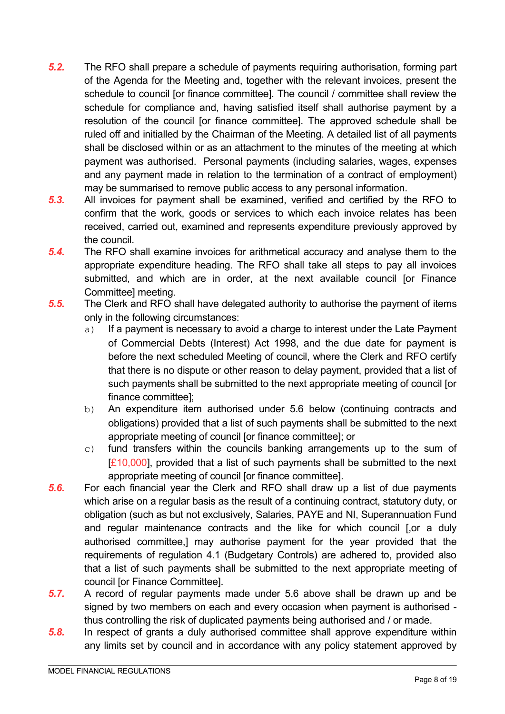- *5.2.* The RFO shall prepare a schedule of payments requiring authorisation, forming part of the Agenda for the Meeting and, together with the relevant invoices, present the schedule to council [or finance committee]. The council / committee shall review the schedule for compliance and, having satisfied itself shall authorise payment by a resolution of the council [or finance committee]. The approved schedule shall be ruled off and initialled by the Chairman of the Meeting. A detailed list of all payments shall be disclosed within or as an attachment to the minutes of the meeting at which payment was authorised. Personal payments (including salaries, wages, expenses and any payment made in relation to the termination of a contract of employment) may be summarised to remove public access to any personal information.
- *5.3.* All invoices for payment shall be examined, verified and certified by the RFO to confirm that the work, goods or services to which each invoice relates has been received, carried out, examined and represents expenditure previously approved by the council.
- *5.4.* The RFO shall examine invoices for arithmetical accuracy and analyse them to the appropriate expenditure heading. The RFO shall take all steps to pay all invoices submitted, and which are in order, at the next available council [or Finance Committee] meeting.
- *5.5.* The Clerk and RFO shall have delegated authority to authorise the payment of items only in the following circumstances:
	- a) If a payment is necessary to avoid a charge to interest under the Late Payment of Commercial Debts (Interest) Act 1998, and the due date for payment is before the next scheduled Meeting of council, where the Clerk and RFO certify that there is no dispute or other reason to delay payment, provided that a list of such payments shall be submitted to the next appropriate meeting of council [or finance committee];
	- b) An expenditure item authorised under 5.6 below (continuing contracts and obligations) provided that a list of such payments shall be submitted to the next appropriate meeting of council [or finance committee]; or
	- c) fund transfers within the councils banking arrangements up to the sum of [£10,000], provided that a list of such payments shall be submitted to the next appropriate meeting of council [or finance committee].
- *5.6.* For each financial year the Clerk and RFO shall draw up a list of due payments which arise on a regular basis as the result of a continuing contract, statutory duty, or obligation (such as but not exclusively, Salaries, PAYE and NI, Superannuation Fund and regular maintenance contracts and the like for which council [,or a duly authorised committee,] may authorise payment for the year provided that the requirements of regulation 4.1 (Budgetary Controls) are adhered to, provided also that a list of such payments shall be submitted to the next appropriate meeting of council [or Finance Committee].
- *5.7.* A record of regular payments made under 5.6 above shall be drawn up and be signed by two members on each and every occasion when payment is authorised thus controlling the risk of duplicated payments being authorised and / or made.
- *5.8.* In respect of grants a duly authorised committee shall approve expenditure within any limits set by council and in accordance with any policy statement approved by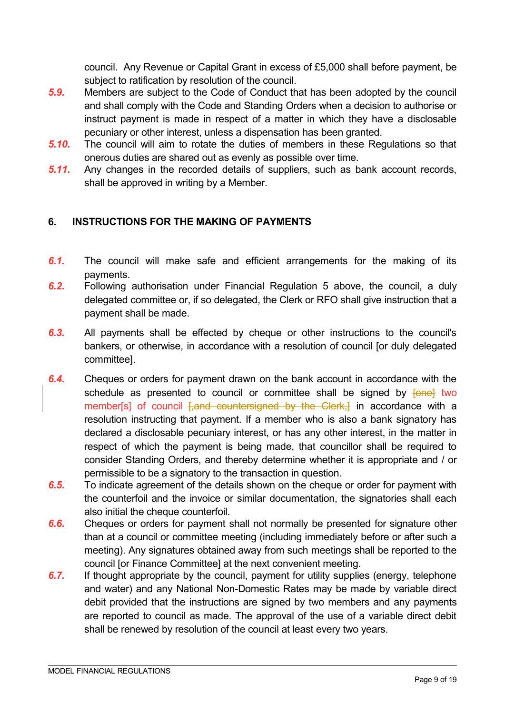council. Any Revenue or Capital Grant in excess of £5,000 shall before payment, be subject to ratification by resolution of the council.

- *5.9.* Members are subject to the Code of Conduct that has been adopted by the council and shall comply with the Code and Standing Orders when a decision to authorise or instruct payment is made in respect of a matter in which they have a disclosable pecuniary or other interest, unless a dispensation has been granted.
- *5.10.* The council will aim to rotate the duties of members in these Regulations so that onerous duties are shared out as evenly as possible over time.
- *5.11.* Any changes in the recorded details of suppliers, such as bank account records, shall be approved in writing by a Member.

# **6. INSTRUCTIONS FOR THE MAKING OF PAYMENTS**

- *6.1.* The council will make safe and efficient arrangements for the making of its payments.
- *6.2.* Following authorisation under Financial Regulation 5 above, the council, a duly delegated committee or, if so delegated, the Clerk or RFO shall give instruction that a payment shall be made.
- *6.3.* All payments shall be effected by cheque or other instructions to the council's bankers, or otherwise, in accordance with a resolution of council [or duly delegated committee].
- *6.4.* Cheques or orders for payment drawn on the bank account in accordance with the schedule as presented to council or committee shall be signed by  $\overline{f^{\text{one}}}$  two member[s] of council [,and countersigned by the Clerk,] in accordance with a resolution instructing that payment. If a member who is also a bank signatory has declared a disclosable pecuniary interest, or has any other interest, in the matter in respect of which the payment is being made, that councillor shall be required to consider Standing Orders, and thereby determine whether it is appropriate and / or permissible to be a signatory to the transaction in question.
- *6.5.* To indicate agreement of the details shown on the cheque or order for payment with the counterfoil and the invoice or similar documentation, the signatories shall each also initial the cheque counterfoil.
- *6.6.* Cheques or orders for payment shall not normally be presented for signature other than at a council or committee meeting (including immediately before or after such a meeting). Any signatures obtained away from such meetings shall be reported to the council [or Finance Committee] at the next convenient meeting.
- *6.7.* If thought appropriate by the council, payment for utility supplies (energy, telephone and water) and any National Non-Domestic Rates may be made by variable direct debit provided that the instructions are signed by two members and any payments are reported to council as made. The approval of the use of a variable direct debit shall be renewed by resolution of the council at least every two years.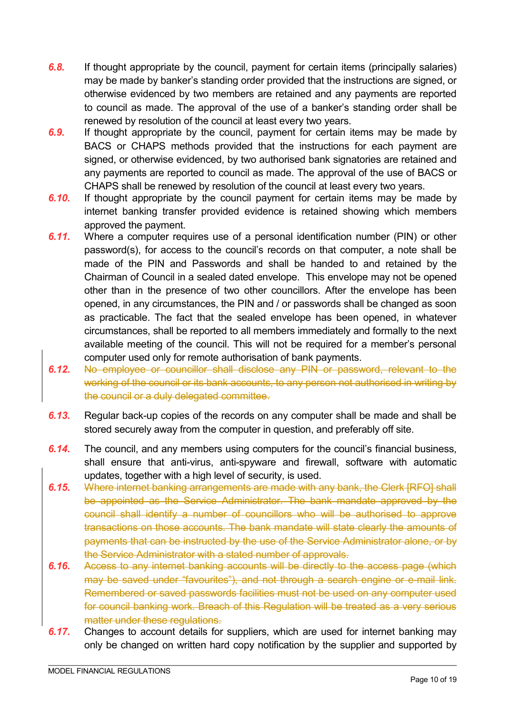- *6.8.* If thought appropriate by the council, payment for certain items (principally salaries) may be made by banker's standing order provided that the instructions are signed, or otherwise evidenced by two members are retained and any payments are reported to council as made. The approval of the use of a banker's standing order shall be renewed by resolution of the council at least every two years.
- *6.9.* If thought appropriate by the council, payment for certain items may be made by BACS or CHAPS methods provided that the instructions for each payment are signed, or otherwise evidenced, by two authorised bank signatories are retained and any payments are reported to council as made. The approval of the use of BACS or CHAPS shall be renewed by resolution of the council at least every two years.
- *6.10.* If thought appropriate by the council payment for certain items may be made by internet banking transfer provided evidence is retained showing which members approved the payment.
- *6.11.* Where a computer requires use of a personal identification number (PIN) or other password(s), for access to the council's records on that computer, a note shall be made of the PIN and Passwords and shall be handed to and retained by the Chairman of Council in a sealed dated envelope. This envelope may not be opened other than in the presence of two other councillors. After the envelope has been opened, in any circumstances, the PIN and / or passwords shall be changed as soon as practicable. The fact that the sealed envelope has been opened, in whatever circumstances, shall be reported to all members immediately and formally to the next available meeting of the council. This will not be required for a member's personal computer used only for remote authorisation of bank payments.
- *6.12.* No employee or councillor shall disclose any PIN or password, relevant to the working of the council or its bank accounts, to any person not authorised in writing by the council or a duly delegated committee.
- *6.13.* Regular back-up copies of the records on any computer shall be made and shall be stored securely away from the computer in question, and preferably off site.
- *6.14.* The council, and any members using computers for the council's financial business, shall ensure that anti-virus, anti-spyware and firewall, software with automatic updates, together with a high level of security, is used.
- *6.15.* Where internet banking arrangements are made with any bank, the Clerk [RFO] shall be appointed as the Service Administrator. The bank mandate approved by the council shall identify a number of councillors who will be authorised to approve transactions on those accounts. The bank mandate will state clearly the amounts of payments that can be instructed by the use of the Service Administrator alone, or by the Service Administrator with a stated number of approvals.
- *6.16.* Access to any internet banking accounts will be directly to the access page (which may be saved under "favourites"), and not through a search engine or e-mail link. Remembered or saved passwords facilities must not be used on any computer used for council banking work. Breach of this Regulation will be treated as a very serious matter under these regulations.
- *6.17.* Changes to account details for suppliers, which are used for internet banking may only be changed on written hard copy notification by the supplier and supported by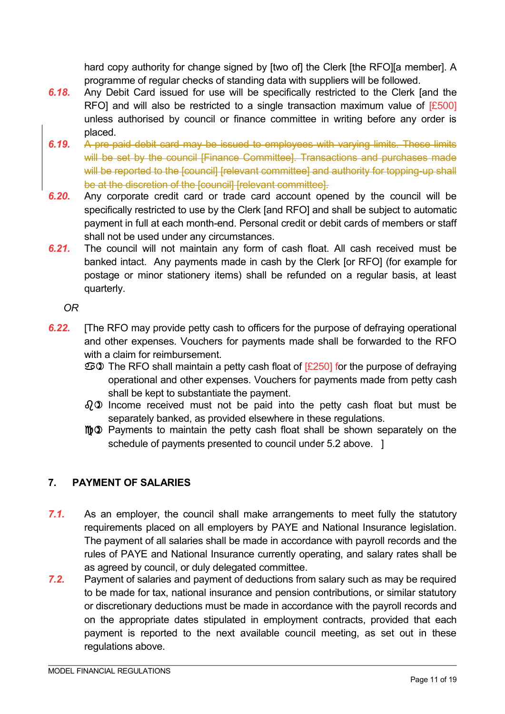hard copy authority for change signed by [two of] the Clerk [the RFO][a member]. A programme of regular checks of standing data with suppliers will be followed.

- *6.18.* Any Debit Card issued for use will be specifically restricted to the Clerk [and the RFO] and will also be restricted to a single transaction maximum value of  $[£500]$ unless authorised by council or finance committee in writing before any order is placed.
- *6.19.* A pre-paid debit card may be issued to employees with varying limits. These limits will be set by the council [Finance Committee]. Transactions and purchases made will be reported to the [council] [relevant committee] and authority for topping-up shall be at the discretion of the [council] [relevant committee].
- *6.20.* Any corporate credit card or trade card account opened by the council will be specifically restricted to use by the Clerk [and RFO] and shall be subject to automatic payment in full at each month-end. Personal credit or debit cards of members or staff shall not be used under any circumstances.
- *6.21.* The council will not maintain any form of cash float. All cash received must be banked intact. Any payments made in cash by the Clerk [or RFO] (for example for postage or minor stationery items) shall be refunded on a regular basis, at least quarterly.

*OR* 

- *6.22.* [The RFO may provide petty cash to officers for the purpose of defraying operational and other expenses. Vouchers for payments made shall be forwarded to the RFO with a claim for reimbursement.
	- The RFO shall maintain a petty cash float of [£250] for the purpose of defraying operational and other expenses. Vouchers for payments made from petty cash shall be kept to substantiate the payment.
	- $\partial_{\theta}$  Income received must not be paid into the petty cash float but must be separately banked, as provided elsewhere in these regulations.
	- mo Payments to maintain the petty cash float shall be shown separately on the schedule of payments presented to council under 5.2 above. 1

# **7. PAYMENT OF SALARIES**

- *7.1.* As an employer, the council shall make arrangements to meet fully the statutory requirements placed on all employers by PAYE and National Insurance legislation. The payment of all salaries shall be made in accordance with payroll records and the rules of PAYE and National Insurance currently operating, and salary rates shall be as agreed by council, or duly delegated committee.
- *7.2.* Payment of salaries and payment of deductions from salary such as may be required to be made for tax, national insurance and pension contributions, or similar statutory or discretionary deductions must be made in accordance with the payroll records and on the appropriate dates stipulated in employment contracts, provided that each payment is reported to the next available council meeting, as set out in these regulations above.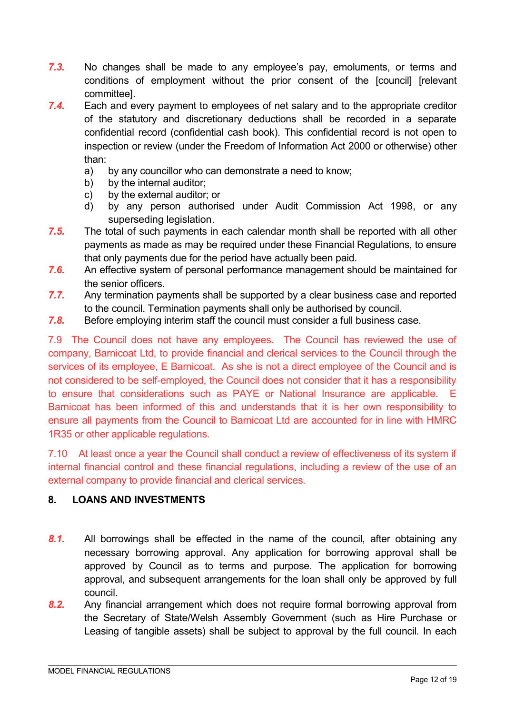- *7.3.* No changes shall be made to any employee's pay, emoluments, or terms and conditions of employment without the prior consent of the [council] [relevant committee].
- *7.4.* Each and every payment to employees of net salary and to the appropriate creditor of the statutory and discretionary deductions shall be recorded in a separate confidential record (confidential cash book). This confidential record is not open to inspection or review (under the Freedom of Information Act 2000 or otherwise) other than:
	- a) by any councillor who can demonstrate a need to know;
	- b) by the internal auditor:
	- c) by the external auditor; or
	- d) by any person authorised under Audit Commission Act 1998, or any superseding legislation.
- *7.5.* The total of such payments in each calendar month shall be reported with all other payments as made as may be required under these Financial Regulations, to ensure that only payments due for the period have actually been paid.
- *7.6.* An effective system of personal performance management should be maintained for the senior officers.
- *7.7.* Any termination payments shall be supported by a clear business case and reported to the council. Termination payments shall only be authorised by council.
- *7.8.* Before employing interim staff the council must consider a full business case.

7.9 The Council does not have any employees. The Council has reviewed the use of company, Barnicoat Ltd, to provide financial and clerical services to the Council through the services of its employee, E Barnicoat. As she is not a direct employee of the Council and is not considered to be self-employed, the Council does not consider that it has a responsibility to ensure that considerations such as PAYE or National Insurance are applicable. E Barnicoat has been informed of this and understands that it is her own responsibility to ensure all payments from the Council to Barnicoat Ltd are accounted for in line with HMRC 1R35 or other applicable regulations.

7.10 At least once a year the Council shall conduct a review of effectiveness of its system if internal financial control and these financial regulations, including a review of the use of an external company to provide financial and clerical services.

## **8. LOANS AND INVESTMENTS**

- *8.1.* All borrowings shall be effected in the name of the council, after obtaining any necessary borrowing approval. Any application for borrowing approval shall be approved by Council as to terms and purpose. The application for borrowing approval, and subsequent arrangements for the loan shall only be approved by full council.
- *8.2.* Any financial arrangement which does not require formal borrowing approval from the Secretary of State/Welsh Assembly Government (such as Hire Purchase or Leasing of tangible assets) shall be subject to approval by the full council. In each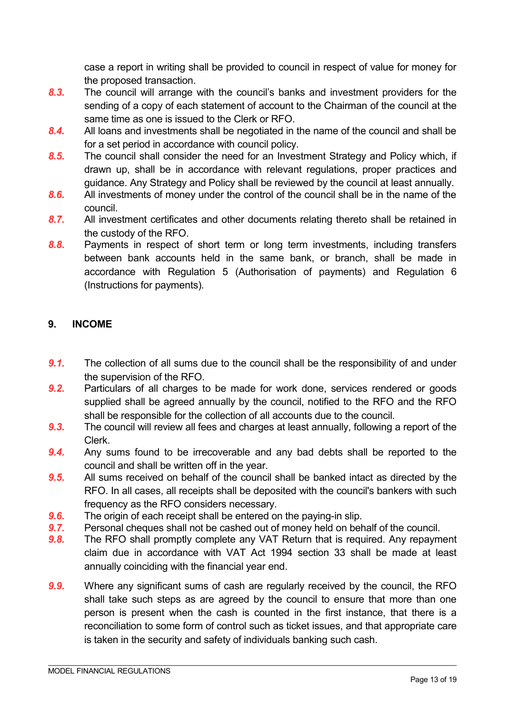case a report in writing shall be provided to council in respect of value for money for the proposed transaction.

- *8.3.* The council will arrange with the council's banks and investment providers for the sending of a copy of each statement of account to the Chairman of the council at the same time as one is issued to the Clerk or RFO.
- *8.4.* All loans and investments shall be negotiated in the name of the council and shall be for a set period in accordance with council policy.
- *8.5.* The council shall consider the need for an Investment Strategy and Policy which, if drawn up, shall be in accordance with relevant regulations, proper practices and guidance. Any Strategy and Policy shall be reviewed by the council at least annually.
- *8.6.* All investments of money under the control of the council shall be in the name of the council.
- *8.7.* All investment certificates and other documents relating thereto shall be retained in the custody of the RFO.
- *8.8.* Payments in respect of short term or long term investments, including transfers between bank accounts held in the same bank, or branch, shall be made in accordance with Regulation 5 (Authorisation of payments) and Regulation 6 (Instructions for payments).

## **9. INCOME**

- **9.1.** The collection of all sums due to the council shall be the responsibility of and under the supervision of the RFO.
- *9.2.* Particulars of all charges to be made for work done, services rendered or goods supplied shall be agreed annually by the council, notified to the RFO and the RFO shall be responsible for the collection of all accounts due to the council.
- *9.3.* The council will review all fees and charges at least annually, following a report of the Clerk.
- *9.4.* Any sums found to be irrecoverable and any bad debts shall be reported to the council and shall be written off in the year.
- *9.5.* All sums received on behalf of the council shall be banked intact as directed by the RFO. In all cases, all receipts shall be deposited with the council's bankers with such frequency as the RFO considers necessary.
- *9.6.* The origin of each receipt shall be entered on the paying-in slip.
- *9.7.* Personal cheques shall not be cashed out of money held on behalf of the council.
- *9.8.* The RFO shall promptly complete any VAT Return that is required. Any repayment claim due in accordance with VAT Act 1994 section 33 shall be made at least annually coinciding with the financial year end.
- *9.9.* Where any significant sums of cash are regularly received by the council, the RFO shall take such steps as are agreed by the council to ensure that more than one person is present when the cash is counted in the first instance, that there is a reconciliation to some form of control such as ticket issues, and that appropriate care is taken in the security and safety of individuals banking such cash.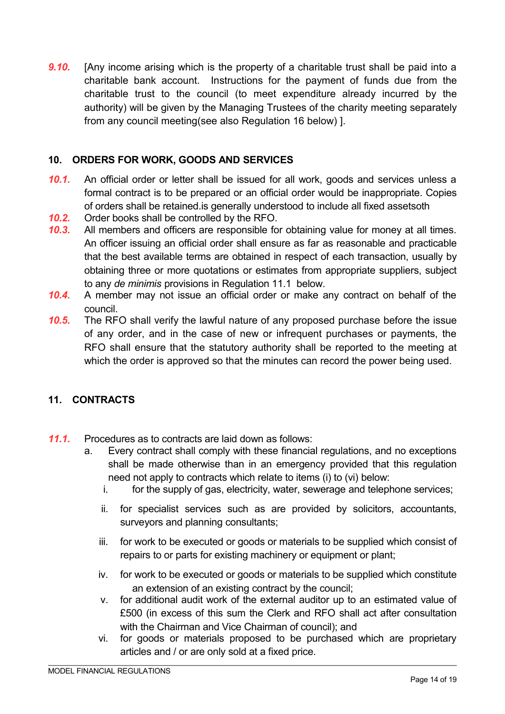**9.10.** [Any income arising which is the property of a charitable trust shall be paid into a charitable bank account. Instructions for the payment of funds due from the charitable trust to the council (to meet expenditure already incurred by the authority) will be given by the Managing Trustees of the charity meeting separately from any council meeting(see also Regulation 16 below) ].

## **10. ORDERS FOR WORK, GOODS AND SERVICES**

- **10.1.** An official order or letter shall be issued for all work, goods and services unless a formal contract is to be prepared or an official order would be inappropriate. Copies of orders shall be retained.is generally understood to include all fixed assetsoth
- *10.2.* Order books shall be controlled by the RFO.
- *10.3.* All members and officers are responsible for obtaining value for money at all times. An officer issuing an official order shall ensure as far as reasonable and practicable that the best available terms are obtained in respect of each transaction, usually by obtaining three or more quotations or estimates from appropriate suppliers, subject to any *de minimis* provisions in Regulation 11.1 below.
- *10.4.* A member may not issue an official order or make any contract on behalf of the council.
- *10.5.* The RFO shall verify the lawful nature of any proposed purchase before the issue of any order, and in the case of new or infrequent purchases or payments, the RFO shall ensure that the statutory authority shall be reported to the meeting at which the order is approved so that the minutes can record the power being used.

# **11. CONTRACTS**

- *11.1.* Procedures as to contracts are laid down as follows:
	- a. Every contract shall comply with these financial regulations, and no exceptions shall be made otherwise than in an emergency provided that this regulation need not apply to contracts which relate to items (i) to (vi) below:
		- i. for the supply of gas, electricity, water, sewerage and telephone services;
		- ii. for specialist services such as are provided by solicitors, accountants, surveyors and planning consultants;
		- iii. for work to be executed or goods or materials to be supplied which consist of repairs to or parts for existing machinery or equipment or plant;
		- iv. for work to be executed or goods or materials to be supplied which constitute an extension of an existing contract by the council;
		- v. for additional audit work of the external auditor up to an estimated value of £500 (in excess of this sum the Clerk and RFO shall act after consultation with the Chairman and Vice Chairman of council); and
		- vi. for goods or materials proposed to be purchased which are proprietary articles and / or are only sold at a fixed price.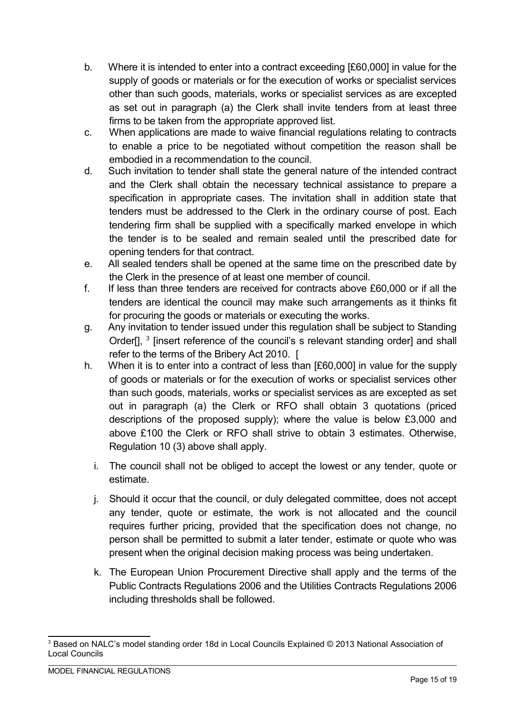- b. Where it is intended to enter into a contract exceeding [£60,000] in value for the supply of goods or materials or for the execution of works or specialist services other than such goods, materials, works or specialist services as are excepted as set out in paragraph (a) the Clerk shall invite tenders from at least three firms to be taken from the appropriate approved list.
- c. When applications are made to waive financial regulations relating to contracts to enable a price to be negotiated without competition the reason shall be embodied in a recommendation to the council.
- d. Such invitation to tender shall state the general nature of the intended contract and the Clerk shall obtain the necessary technical assistance to prepare a specification in appropriate cases. The invitation shall in addition state that tenders must be addressed to the Clerk in the ordinary course of post. Each tendering firm shall be supplied with a specifically marked envelope in which the tender is to be sealed and remain sealed until the prescribed date for opening tenders for that contract.
- e. All sealed tenders shall be opened at the same time on the prescribed date by the Clerk in the presence of at least one member of council.
- f. If less than three tenders are received for contracts above £60,000 or if all the tenders are identical the council may make such arrangements as it thinks fit for procuring the goods or materials or executing the works.
- g. Any invitation to tender issued under this regulation shall be subject to Standing Order[], <sup>3</sup> [insert reference of the council's s relevant standing order] and shall refer to the terms of the Bribery Act 2010. [
- h. When it is to enter into a contract of less than [£60,000] in value for the supply of goods or materials or for the execution of works or specialist services other than such goods, materials, works or specialist services as are excepted as set out in paragraph (a) the Clerk or RFO shall obtain 3 quotations (priced descriptions of the proposed supply); where the value is below £3,000 and above £100 the Clerk or RFO shall strive to obtain 3 estimates. Otherwise, Regulation 10 (3) above shall apply.
	- i. The council shall not be obliged to accept the lowest or any tender, quote or estimate.
	- j. Should it occur that the council, or duly delegated committee, does not accept any tender, quote or estimate, the work is not allocated and the council requires further pricing, provided that the specification does not change, no person shall be permitted to submit a later tender, estimate or quote who was present when the original decision making process was being undertaken.
	- k. The European Union Procurement Directive shall apply and the terms of the Public Contracts Regulations 2006 and the Utilities Contracts Regulations 2006 including thresholds shall be followed.

 $^3$  Based on NALC's model standing order 18d in Local Councils Explained © 2013 National Association of Local Councils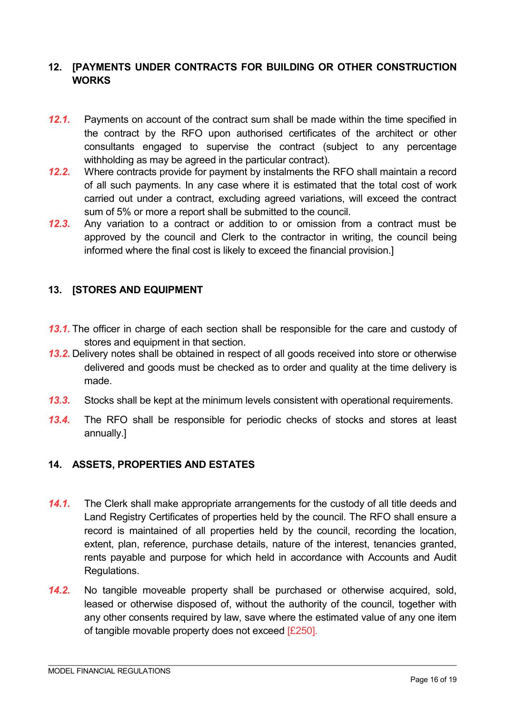## **12. [PAYMENTS UNDER CONTRACTS FOR BUILDING OR OTHER CONSTRUCTION WORKS**

- **12.1.** Payments on account of the contract sum shall be made within the time specified in the contract by the RFO upon authorised certificates of the architect or other consultants engaged to supervise the contract (subject to any percentage withholding as may be agreed in the particular contract).
- *12.2.* Where contracts provide for payment by instalments the RFO shall maintain a record of all such payments. In any case where it is estimated that the total cost of work carried out under a contract, excluding agreed variations, will exceed the contract sum of 5% or more a report shall be submitted to the council.
- *12.3.* Any variation to a contract or addition to or omission from a contract must be approved by the council and Clerk to the contractor in writing, the council being informed where the final cost is likely to exceed the financial provision.]

## **13. [STORES AND EQUIPMENT**

- **13.1.** The officer in charge of each section shall be responsible for the care and custody of stores and equipment in that section.
- *13.2.* Delivery notes shall be obtained in respect of all goods received into store or otherwise delivered and goods must be checked as to order and quality at the time delivery is made.
- *13.3.* Stocks shall be kept at the minimum levels consistent with operational requirements.
- *13.4.* The RFO shall be responsible for periodic checks of stocks and stores at least annually.]

## **14. ASSETS, PROPERTIES AND ESTATES**

- *14.1.* The Clerk shall make appropriate arrangements for the custody of all title deeds and Land Registry Certificates of properties held by the council. The RFO shall ensure a record is maintained of all properties held by the council, recording the location, extent, plan, reference, purchase details, nature of the interest, tenancies granted, rents payable and purpose for which held in accordance with Accounts and Audit Regulations.
- *14.2.* No tangible moveable property shall be purchased or otherwise acquired, sold, leased or otherwise disposed of, without the authority of the council, together with any other consents required by law, save where the estimated value of any one item of tangible movable property does not exceed [£250].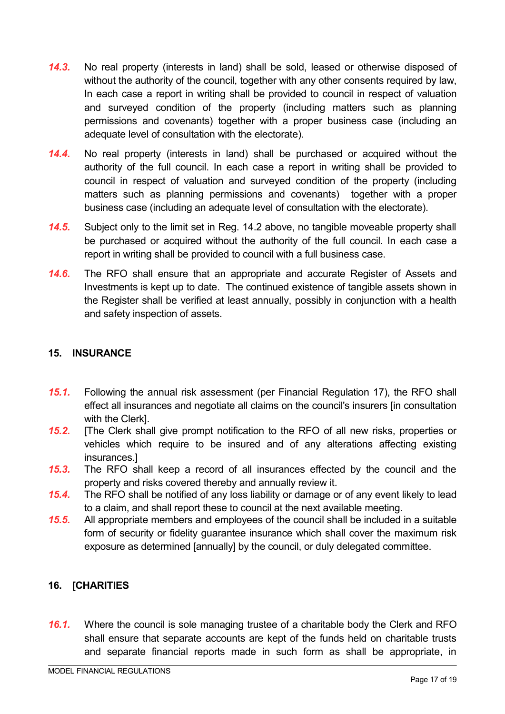- *14.3.* No real property (interests in land) shall be sold, leased or otherwise disposed of without the authority of the council, together with any other consents required by law, In each case a report in writing shall be provided to council in respect of valuation and surveyed condition of the property (including matters such as planning permissions and covenants) together with a proper business case (including an adequate level of consultation with the electorate).
- *14.4.* No real property (interests in land) shall be purchased or acquired without the authority of the full council. In each case a report in writing shall be provided to council in respect of valuation and surveyed condition of the property (including matters such as planning permissions and covenants) together with a proper business case (including an adequate level of consultation with the electorate).
- *14.5.* Subject only to the limit set in Reg. 14.2 above, no tangible moveable property shall be purchased or acquired without the authority of the full council. In each case a report in writing shall be provided to council with a full business case.
- *14.6.* The RFO shall ensure that an appropriate and accurate Register of Assets and Investments is kept up to date. The continued existence of tangible assets shown in the Register shall be verified at least annually, possibly in conjunction with a health and safety inspection of assets.

## **15. INSURANCE**

- *15.1.* Following the annual risk assessment (per Financial Regulation 17), the RFO shall effect all insurances and negotiate all claims on the council's insurers [in consultation with the Clerk].
- *15.2.* [The Clerk shall give prompt notification to the RFO of all new risks, properties or vehicles which require to be insured and of any alterations affecting existing insurances.]
- *15.3.* The RFO shall keep a record of all insurances effected by the council and the property and risks covered thereby and annually review it.
- *15.4.* The RFO shall be notified of any loss liability or damage or of any event likely to lead to a claim, and shall report these to council at the next available meeting.
- *15.5.* All appropriate members and employees of the council shall be included in a suitable form of security or fidelity guarantee insurance which shall cover the maximum risk exposure as determined [annually] by the council, or duly delegated committee.

# **16. [CHARITIES**

**16.1.** Where the council is sole managing trustee of a charitable body the Clerk and RFO shall ensure that separate accounts are kept of the funds held on charitable trusts and separate financial reports made in such form as shall be appropriate, in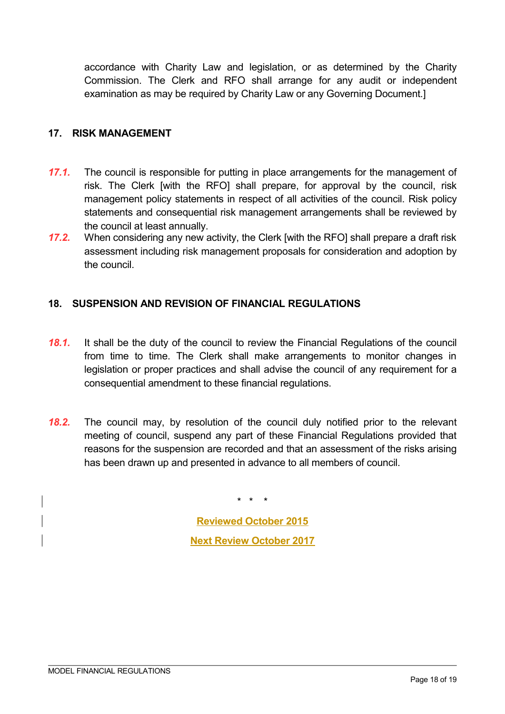accordance with Charity Law and legislation, or as determined by the Charity Commission. The Clerk and RFO shall arrange for any audit or independent examination as may be required by Charity Law or any Governing Document.]

#### **17. RISK MANAGEMENT**

- *17.1.* The council is responsible for putting in place arrangements for the management of risk. The Clerk [with the RFO] shall prepare, for approval by the council, risk management policy statements in respect of all activities of the council. Risk policy statements and consequential risk management arrangements shall be reviewed by the council at least annually.
- *17.2.* When considering any new activity, the Clerk [with the RFO] shall prepare a draft risk assessment including risk management proposals for consideration and adoption by the council.

## **18. SUSPENSION AND REVISION OF FINANCIAL REGULATIONS**

- *18.1.* It shall be the duty of the council to review the Financial Regulations of the council from time to time. The Clerk shall make arrangements to monitor changes in legislation or proper practices and shall advise the council of any requirement for a consequential amendment to these financial regulations.
- *18.2.* The council may, by resolution of the council duly notified prior to the relevant meeting of council, suspend any part of these Financial Regulations provided that reasons for the suspension are recorded and that an assessment of the risks arising has been drawn up and presented in advance to all members of council.

**Reviewed October 2015 Next Review October 2017** 

\* \* \*